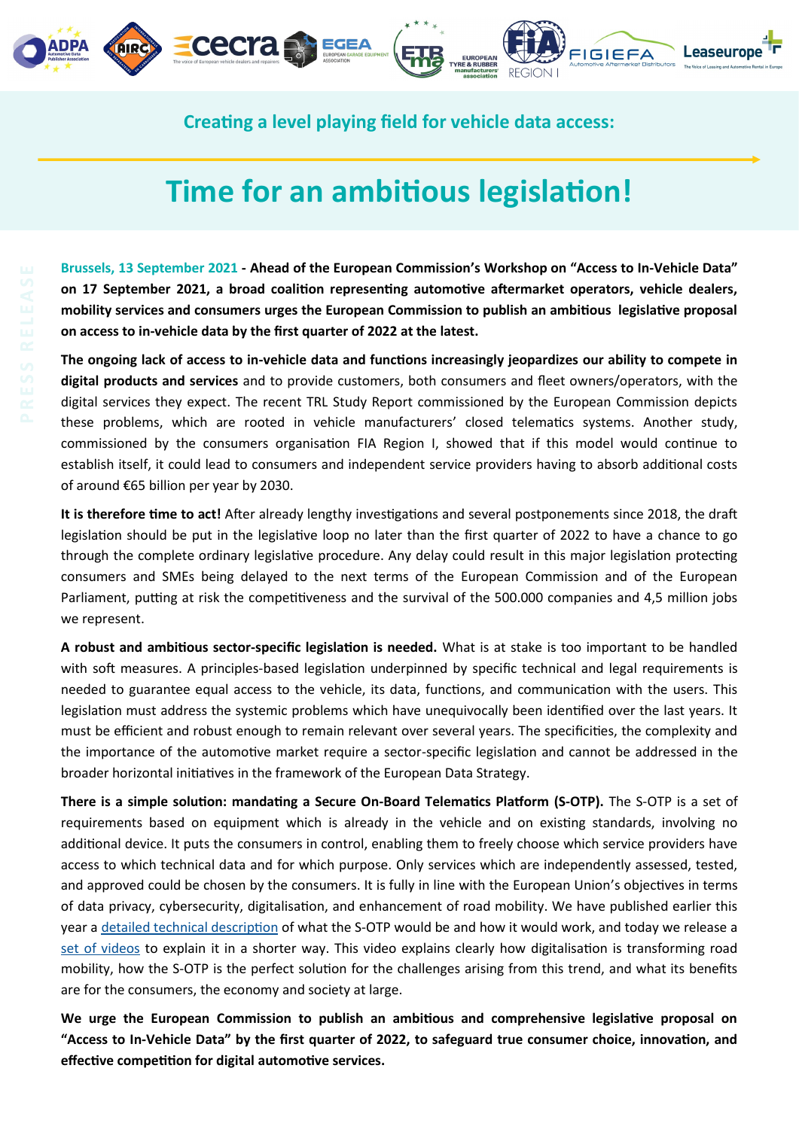



**Leaseurope FIGIEFA** 

**Creating a level playing field for vehicle data access:** 

## **Time for an ambitious legislation!**

**Brussels, 13 September 2021 - Ahead of the European Commission's Workshop on "Access to In-Vehicle Data" on 17 September 2021, a broad coalition representing automotive aftermarket operators, vehicle dealers, mobility services and consumers urges the European Commission to publish an ambitious legislative proposal on access to in-vehicle data by the first quarter of 2022 at the latest.**

**The ongoing lack of access to in-vehicle data and functions increasingly jeopardizes our ability to compete in digital products and services** and to provide customers, both consumers and fleet owners/operators, with the digital services they expect. The recent TRL Study Report commissioned by the European Commission depicts these problems, which are rooted in vehicle manufacturers' closed telematics systems. Another study, commissioned by the consumers organisation FIA Region I, showed that if this model would continue to establish itself, it could lead to consumers and independent service providers having to absorb additional costs of around €65 billion per year by 2030.

**It is therefore time to act!** After already lengthy investigations and several postponements since 2018, the draft legislation should be put in the legislative loop no later than the first quarter of 2022 to have a chance to go through the complete ordinary legislative procedure. Any delay could result in this major legislation protecting consumers and SMEs being delayed to the next terms of the European Commission and of the European Parliament, putting at risk the competitiveness and the survival of the 500.000 companies and 4,5 million jobs we represent.

**A robust and ambitious sector-specific legislation is needed.** What is at stake is too important to be handled with soft measures. A principles-based legislation underpinned by specific technical and legal requirements is needed to guarantee equal access to the vehicle, its data, functions, and communication with the users. This legislation must address the systemic problems which have unequivocally been identified over the last years. It must be efficient and robust enough to remain relevant over several years. The specificities, the complexity and the importance of the automotive market require a sector-specific legislation and cannot be addressed in the broader horizontal initiatives in the framework of the European Data Strategy.

**There is a simple solution: mandating a Secure On-Board Telematics Platform (S-OTP).** The S-OTP is a set of requirements based on equipment which is already in the vehicle and on existing standards, involving no additional device. It puts the consumers in control, enabling them to freely choose which service providers have access to which technical data and for which purpose. Only services which are independently assessed, tested, and approved could be chosen by the consumers. It is fully in line with the European Union's objectives in terms of data privacy, cybersecurity, digitalisation, and enhancement of road mobility. We have published earlier this year a [detailed technical description](https://www.figiefa.eu/creating-a-level-playing-field-for-vehicle-data-access-secure-on-board-telematics-platform-approach/) of what the S-OTP would be and how it would work, and today we release a [set of videos](https://www.youtube.com/playlist?list=PLPf1tXv8IMR_VPbFKysO8tTRCyEkJiVj3) to explain it in a shorter way. This video explains clearly how digitalisation is transforming road mobility, how the S-OTP is the perfect solution for the challenges arising from this trend, and what its benefits are for the consumers, the economy and society at large.

**We urge the European Commission to publish an ambitious and comprehensive legislative proposal on "Access to In-Vehicle Data" by the first quarter of 2022, to safeguard true consumer choice, innovation, and effective competition for digital automotive services.**